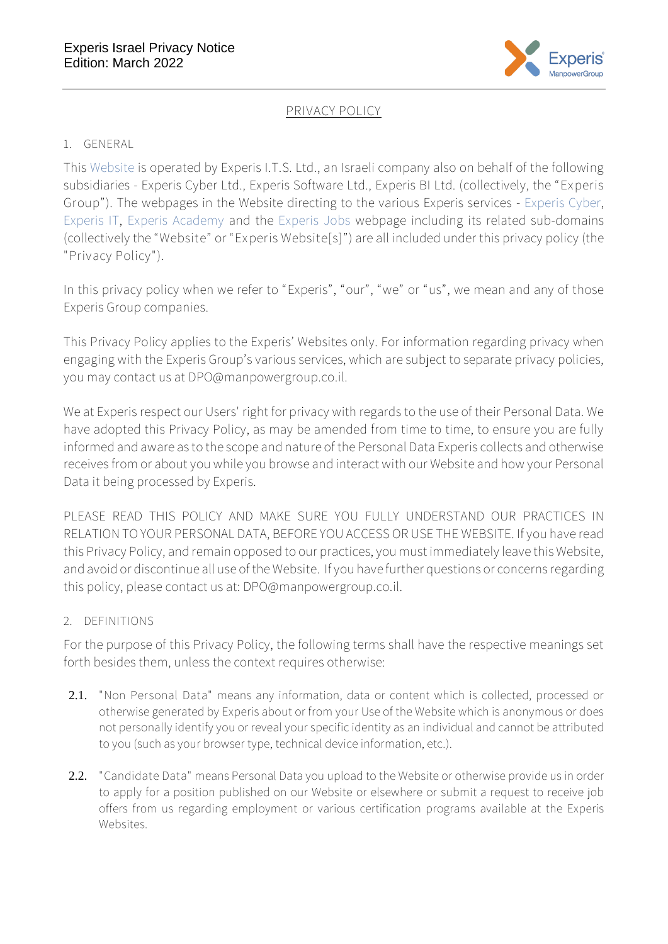

# **PRIVACY POLICY**

### 1. **GENERAL**

This [Website](https://experis.co.il/) is operated by Experis I.T.S. Ltd., an Israeli company also on behalf of the following subsidiaries - Experis Cyber Ltd., Experis Software Ltd., Experis BI Ltd. (collectively, the "**Experis Group**"). The webpages in the Website directing to the various Experis services - [Experis Cyber,](https://experis.co.il/cyber/) [Experis IT,](https://experis.co.il/it/) [Experis Academy](https://experis.co.il/academy/) and the [Experis Jobs](https://jobs.experis.co.il/) webpage including its related sub-domains (collectively the "**Website**" or "**Experis Website[s]**") are all included under this privacy policy (the "**Privacy Policy**").

In this privacy policy when we refer to "Experis", "our", "we" or "us", we mean and any of those Experis Group companies.

This Privacy Policy applies to the Experis' Websites only. For information regarding privacy when engaging with the Experis Group's various services, which are subject to separate privacy policies, you may contact us at DPO@manpowergroup.co.il.

We at Experis respect our Users' right for privacy with regards to the use of their Personal Data. We have adopted this Privacy Policy, as may be amended from time to time, to ensure you are fully informed and aware as to the scope and nature of the Personal Data Experis collects and otherwise receives from or about you while you browse and interact with our Website and how your Personal Data it being processed by Experis.

PLEASE READ THIS POLICY AND MAKE SURE YOU FULLY UNDERSTAND OUR PRACTICES IN RELATION TO YOUR PERSONAL DATA, BEFORE YOU ACCESS OR USE THE WEBSITE. If you have read this Privacy Policy, and remain opposed to our practices, you must immediately leave this Website, and avoid or discontinue all use of the Website. If you have further questions or concerns regarding this policy, please contact us at: DPO@manpowergroup.co.il.

## 2. **DEFINITIONS**

For the purpose of this Privacy Policy, the following terms shall have the respective meanings set forth besides them, unless the context requires otherwise:

- 2.1. "**Non Personal Data**" means any information, data or content which is collected, processed or otherwise generated by Experis about or from your Use of the Website which is anonymous or does not personally identify you or reveal your specific identity as an individual and cannot be attributed to you (such as your browser type, technical device information, etc.).
- 2.2. "**Candidate Data**" means Personal Data you upload to the Website or otherwise provide us in order to apply for a position published on our Website or elsewhere or submit a request to receive job offers from us regarding employment or various certification programs available at the Experis Websites.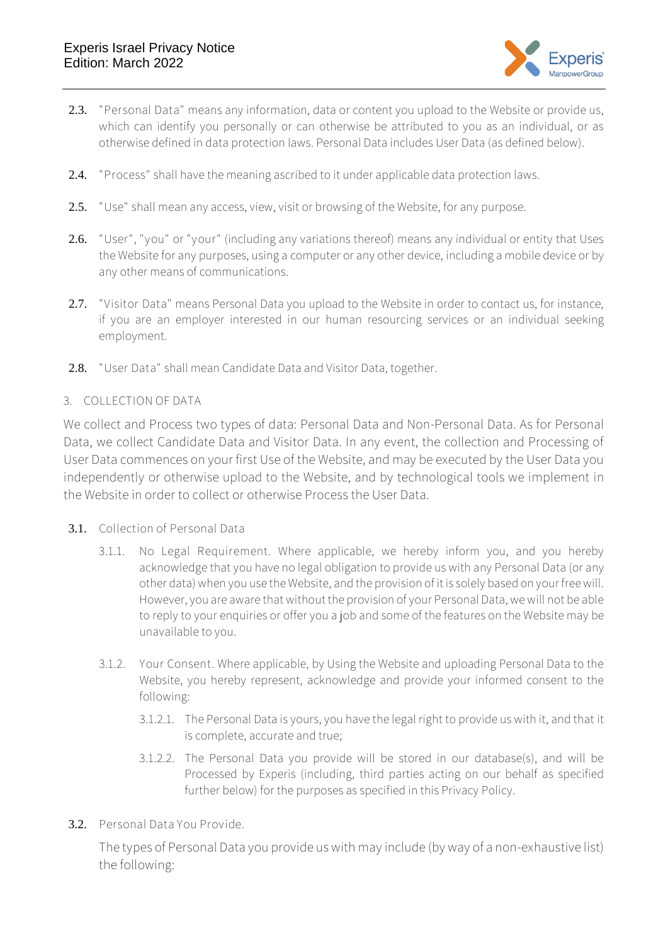

- 2.3. "**Personal Data**" means any information, data or content you upload to the Website or provide us, which can identify you personally or can otherwise be attributed to you as an individual, or as otherwise defined in data protection laws. Personal Data includes User Data (as defined below).
- 2.4. "**Process**" shall have the meaning ascribed to it under applicable data protection laws.
- 2.5. "**Use**" shall mean any access, view, visit or browsing of the Website, for any purpose.
- 2.6. "**User**", "**you**" or "**your**" (including any variations thereof) means any individual or entity that Uses the Website for any purposes, using a computer or any other device, including a mobile device or by any other means of communications.
- 2.7. "**Visitor Data**" means Personal Data you upload to the Website in order to contact us, for instance, if you are an employer interested in our human resourcing services or an individual seeking employment.
- 2.8. "**User Data**" shall mean Candidate Data and Visitor Data, together.

### 3. **COLLECTION OF DATA**

We collect and Process two types of data: Personal Data and Non-Personal Data. As for Personal Data, we collect Candidate Data and Visitor Data. In any event, the collection and Processing of User Data commences on your first Use of the Website, and may be executed by the User Data you independently or otherwise upload to the Website, and by technological tools we implement in the Website in order to collect or otherwise Process the User Data.

- 3.1. **Collection of Personal Data** 
	- 3.1.1. **No Legal Requirement**. Where applicable, we hereby inform you, and you hereby acknowledge that you have no legal obligation to provide us with any Personal Data (or any other data) when you use the Website, and the provision of it is solely based on your free will. However, you are aware that without the provision of your Personal Data, we will not be able to reply to your enquiries or offer you a job and some of the features on the Website may be unavailable to you.
	- 3.1.2. **Your Consent**. Where applicable, by Using the Website and uploading Personal Data to the Website, you hereby represent, acknowledge and provide your informed consent to the following:
		- 3.1.2.1. The Personal Data is yours, you have the legal right to provide us with it, and that it is complete, accurate and true;
		- 3.1.2.2. The Personal Data you provide will be stored in our database(s), and will be Processed by Experis (including, third parties acting on our behalf as specified further below) for the purposes as specified in this Privacy Policy.
- 3.2. **Personal Data You Provide.**

The types of Personal Data you provide us with may include (by way of a non-exhaustive list) the following: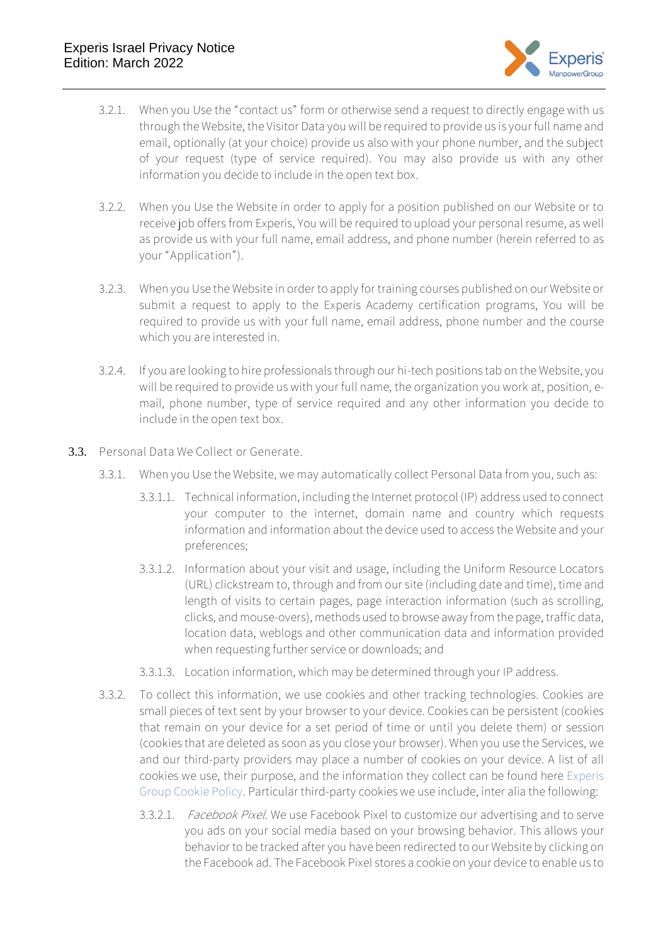

- 3.2.1. When you Use the ["contact us" form](https://jobs.experis.co.il/contact-us/) or otherwise send a request to directly engage with us through the Website, the Visitor Data you will be required to provide us is your full name and email, optionally (at your choice) provide us also with your phone number, and the subject of your request (type of service required). You may also provide us with any other information you decide to include in the open text box.
- 3.2.2. When you Use the Website in order to apply for a position published on our Website or to receive job offers from Experis, You will be required to upload your personal resume, as well as provide us with your full name, email address, and phone number (herein referred to as your "**Application**").
- 3.2.3. When you Use the Website in order to apply for training courses published on our Website or submit a request to apply to the Experis Academy certification programs, You will be required to provide us with your full name, email address, phone number and the course which you are interested in.
- 3.2.4. If you are looking to hire professionals through our hi-tech positions tab on the Website, you will be required to provide us with your full name, the organization you work at, position, email, phone number, type of service required and any other information you decide to include in the open text box.
- <span id="page-2-0"></span>3.3. **Personal Data We Collect or Generate.** 
	- 3.3.1. When you Use the Website, we may automatically collect Personal Data from you, such as:
		- 3.3.1.1. Technical information, including the Internet protocol (IP) address used to connect your computer to the internet, domain name and country which requests information and information about the device used to access the Website and your preferences;
		- 3.3.1.2. Information about your visit and usage, including the Uniform Resource Locators (URL) clickstream to, through and from our site (including date and time), time and length of visits to certain pages, page interaction information (such as scrolling, clicks, and mouse-overs), methods used to browse away from the page, traffic data, location data, weblogs and other communication data and information provided when requesting further service or downloads; and
		- 3.3.1.3. Location information, which may be determined through your IP address.
	- 3.3.2. To collect this information, we use cookies and other tracking technologies. Cookies are small pieces of text sent by your browser to your device. Cookies can be persistent (cookies that remain on your device for a set period of time or until you delete them) or session (cookies that are deleted as soon as you close your browser). When you use the Services, we and our third-party providers may place a number of cookies on your device. A list of all cookies we use, their purpose, and the information they collect can be found here [Experis](https://experis.co.il/wp-content/uploads/2022/03/Experis-Cookie-Policy.pdf)  [Group Cookie Policy.](https://experis.co.il/wp-content/uploads/2022/03/Experis-Cookie-Policy.pdf) Particular third-party cookies we use include, inter alia the following:
		- 3.3.2.1. Facebook Pixel. We use Facebook Pixel to customize our advertising and to serve you ads on your social media based on your browsing behavior. This allows your behavior to be tracked after you have been redirected to our Website by clicking on the Facebook ad. The Facebook Pixel stores a cookie on your device to enable us to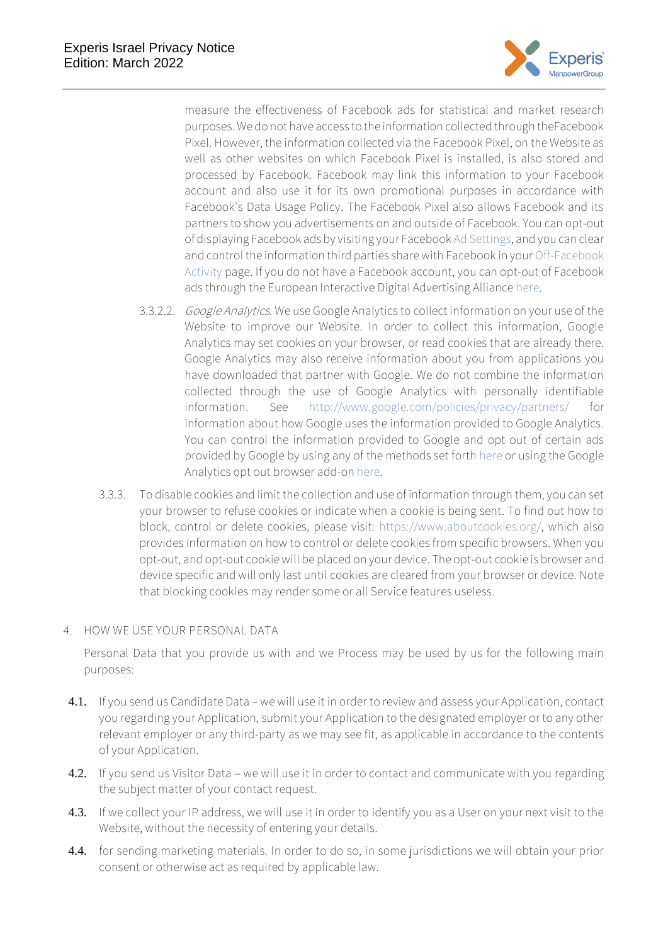

measure the effectiveness of Facebook ads for statistical and market research purposes. We do not have access to the information collected through theFacebook Pixel. However, the information collected via the Facebook Pixel, on the Website as well as other websites on which Facebook Pixel is installed, is also stored and processed by Facebook. Facebook may link this information to your Facebook account and also use it for its own promotional purposes in accordance with Facebook's Data Usage Policy. The Facebook Pixel also allows Facebook and its partners to show you advertisements on and outside of Facebook. You can opt-out of displaying Facebook ads by visiting your Faceboo[k Ad Settings,](https://www.facebook.com/settings?tab=ads) and you can clear and control the information third parties share with Facebook in you[r Off-Facebook](https://www.facebook.com/off_facebook_activity/)  [Activity](https://www.facebook.com/off_facebook_activity/) page. If you do not have a Facebook account, you can opt-out of Facebook ads through the European Interactive Digital Advertising Alliance [here.](http://www.youronlinechoices.eu/)

- 3.3.2.2. Google Analytics. We use Google Analytics to collect information on your use of the Website to improve our Website. In order to collect this information, Google Analytics may set cookies on your browser, or read cookies that are already there. Google Analytics may also receive information about you from applications you have downloaded that partner with Google. We do not combine the information collected through the use of Google Analytics with personally identifiable information. See <http://www.google.com/policies/privacy/partners/> for information about how Google uses the information provided to Google Analytics. You can control the information provided to Google and opt out of certain ads provided by Google by using any of the methods set forth [here](https://policies.google.com/technologies/partner-sites) or using the Google Analytics opt out browser add-on [here.](https://tools.google.com/dlpage/gaoptout?hl=en)
- 3.3.3. To disable cookies and limit the collection and use of information through them, you can set your browser to refuse cookies or indicate when a cookie is being sent. To find out how to block, control or delete cookies, please visit: [https://www.aboutcookies.org/,](https://www.aboutcookies.org/) which also provides information on how to control or delete cookies from specific browsers. When you opt-out, and opt-out cookie will be placed on your device. The opt-out cookie is browser and device specific and will only last until cookies are cleared from your browser or device. Note that blocking cookies may render some or all Service features useless.

#### 4. **HOW WE USE YOUR PERSONAL DATA**

Personal Data that you provide us with and we Process may be used by us for the following main purposes:

- 4.1. If you send us Candidate Data we will use it in order to review and assess your Application, contact you regarding your Application, submit your Application to the designated employer or to any other relevant employer or any third-party as we may see fit, as applicable in accordance to the contents of your Application.
- 4.2. If you send us Visitor Data we will use it in order to contact and communicate with you regarding the subject matter of your contact request.
- 4.3. If we collect your IP address, we will use it in order to identify you as a User on your next visit to the Website, without the necessity of entering your details.
- 4.4. for sending marketing materials. In order to do so, in some jurisdictions we will obtain your prior consent or otherwise act as required by applicable law.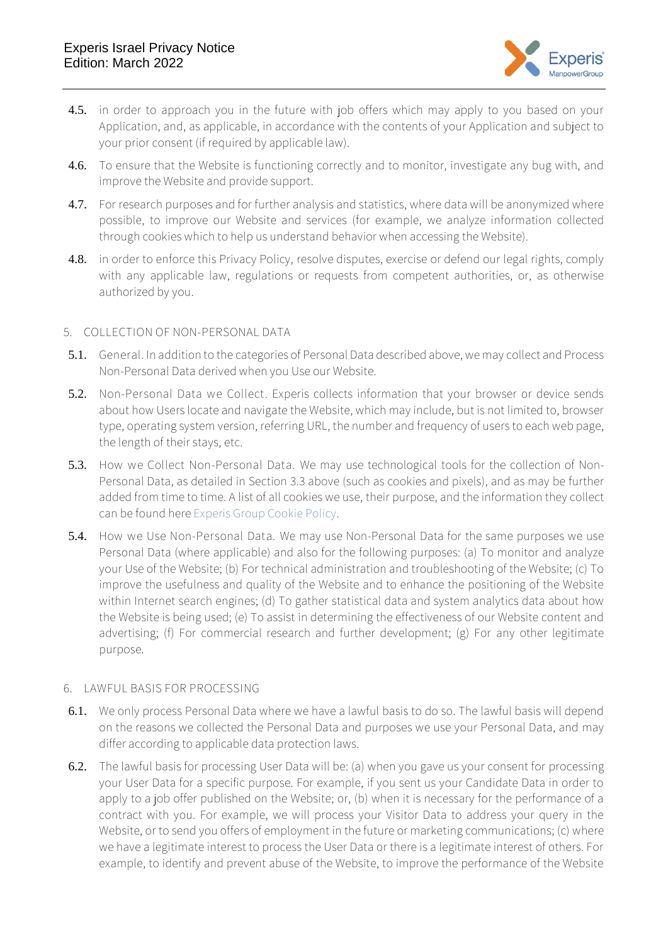

- 4.5. in order to approach you in the future with job offers which may apply to you based on your Application, and, as applicable, in accordance with the contents of your Application and subject to your prior consent (if required by applicable law).
- 4.6. To ensure that the Website is functioning correctly and to monitor, investigate any bug with, and improve the Website and provide support.
- 4.7. For research purposes and for further analysis and statistics, where data will be anonymized where possible, to improve our Website and services (for example, we analyze information collected through cookies which to help us understand behavior when accessing the Website).
- 4.8. in order to enforce this Privacy Policy, resolve disputes, exercise or defend our legal rights, comply with any applicable law, regulations or requests from competent authorities, or, as otherwise authorized by you.

#### 5. **COLLECTION OF NON-PERSONAL DATA**

- 5.1. **General**. In addition to the categories of Personal Data described above, we may collect and Process Non-Personal Data derived when you Use our Website.
- 5.2. **Non-Personal Data we Collect**. Experis collects information that your browser or device sends about how Users locate and navigate the Website, which may include, but is not limited to, browser type, operating system version, referring URL, the number and frequency of users to each web page, the length of their stays, etc.
- 5.3. **How we Collect Non-Personal Data.** We may use technological tools for the collection of Non-Personal Data, as detailed in Section [3.3](#page-2-0) above (such as cookies and pixels), and as may be further added from time to time. A list of all cookies we use, their purpose, and the information they collect can be found her[e Experis Group Cookie Policy.](file://///mps00101/public/איכות/TOP/מחלקת%20איכות%202016/פרוייקטי%20מטה/Data%20Privacy%20Protection/GDPR%20Compliance%20Projects/Experis%20Cyber/Cookies%20Notice/Cookie%20Policy%20CLEAN.doc)
- 5.4. **How we Use Non-Personal Data.** We may use Non-Personal Data for the same purposes we use Personal Data (where applicable) and also for the following purposes: (a) To monitor and analyze your Use of the Website; (b) For technical administration and troubleshooting of the Website; (c) To improve the usefulness and quality of the Website and to enhance the positioning of the Website within Internet search engines; (d) To gather statistical data and system analytics data about how the Website is being used; (e) To assist in determining the effectiveness of our Website content and advertising; (f) For commercial research and further development; (g) For any other legitimate purpose.

#### 6. **LAWFUL BASIS FOR PROCESSING**

- 6.1. We only process Personal Data where we have a lawful basis to do so. The lawful basis will depend on the reasons we collected the Personal Data and purposes we use your Personal Data, and may differ according to applicable data protection laws.
- 6.2. The lawful basis for processing User Data will be: (a) when you gave us your consent for processing your User Data for a specific purpose. For example, if you sent us your Candidate Data in order to apply to a job offer published on the Website; or, (b) when it is necessary for the performance of a contract with you. For example, we will process your Visitor Data to address your query in the Website, or to send you offers of employment in the future or marketing communications; (c) where we have a legitimate interest to process the User Data or there is a legitimate interest of others. For example, to identify and prevent abuse of the Website, to improve the performance of the Website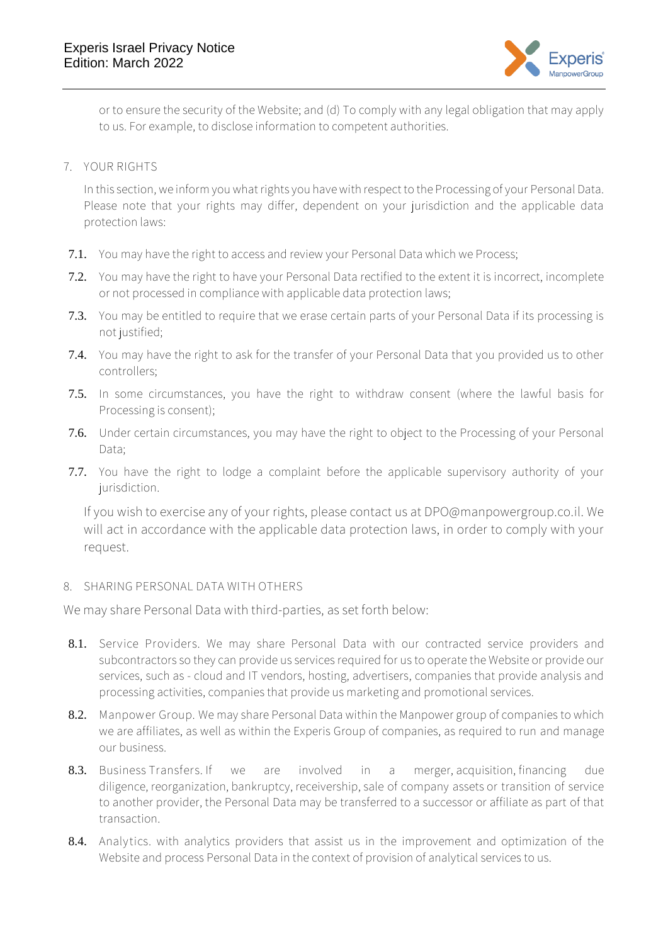

or to ensure the security of the Website; and (d) To comply with any legal obligation that may apply to us. For example, to disclose information to competent authorities.

<span id="page-5-0"></span>7. **YOUR RIGHTS** 

In this section, we inform you what rights you have with respect to the Processing of your Personal Data. Please note that your rights may differ, dependent on your jurisdiction and the applicable data protection laws:

- 7.1. You may have the right to access and review your Personal Data which we Process;
- 7.2. You may have the right to have your Personal Data rectified to the extent it is incorrect, incomplete or not processed in compliance with applicable data protection laws;
- 7.3. You may be entitled to require that we erase certain parts of your Personal Data if its processing is not justified;
- 7.4. You may have the right to ask for the transfer of your Personal Data that you provided us to other controllers;
- 7.5. In some circumstances, you have the right to withdraw consent (where the lawful basis for Processing is consent);
- 7.6. Under certain circumstances, you may have the right to object to the Processing of your Personal Data;
- 7.7. You have the right to lodge a complaint before the applicable supervisory authority of your jurisdiction.

If you wish to exercise any of your rights, please contact us at DPO@manpowergroup.co.il. We will act in accordance with the applicable data protection laws, in order to comply with your request.

### 8. **SHARING PERSONAL DATA WITH OTHERS**

We may share Personal Data with third-parties, as set forth below:

- 8.1. **Service Providers**. We may share Personal Data with our contracted service providers and subcontractors so they can provide us services required for us to operate the Website or provide our services, such as - cloud and IT vendors, hosting, advertisers, companies that provide analysis and processing activities, companies that provide us marketing and promotional services.
- 8.2. **Manpower Group.** We may share Personal Data within the Manpower group of companies to which we are affiliates, as well as within the Experis Group of companies, as required to run and manage our business.
- 8.3. **Business Transfers**. If we are involved in a merger, acquisition, financing due diligence, reorganization, bankruptcy, receivership, sale of company assets or transition of service to another provider, the Personal Data may be transferred to a successor or affiliate as part of that transaction.
- 8.4. **Analytics**. with analytics providers that assist us in the improvement and optimization of the Website and process Personal Data in the context of provision of analytical services to us.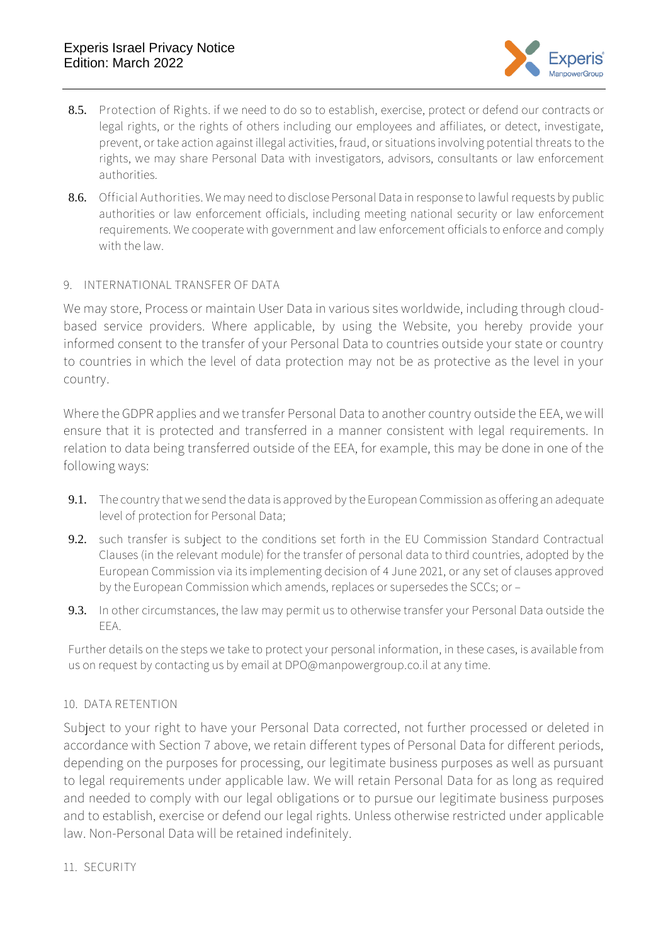

- 8.5. **Protection of Rights**. if we need to do so to establish, exercise, protect or defend our contracts or legal rights, or the rights of others including our employees and affiliates, or detect, investigate, prevent, or take action against illegal activities, fraud, or situations involving potential threats to the rights, we may share Personal Data with investigators, advisors, consultants or law enforcement authorities.
- 8.6. **Official Authorities**. We may need to disclose Personal Data in response to lawful requests by public authorities or law enforcement officials, including meeting national security or law enforcement requirements. We cooperate with government and law enforcement officials to enforce and comply with the law.
- 9. **INTERNATIONAL TRANSFER OF DATA**

We may store, Process or maintain User Data in various sites worldwide, including through cloudbased service providers. Where applicable, by using the Website, you hereby provide your informed consent to the transfer of your Personal Data to countries outside your state or country to countries in which the level of data protection may not be as protective as the level in your country.

Where the GDPR applies and we transfer Personal Data to another country outside the EEA, we will ensure that it is protected and transferred in a manner consistent with legal requirements. In relation to data being transferred outside of the EEA, for example, this may be done in one of the following ways:

- 9.1. The country that we send the data is approved by the European Commission as offering an adequate level of protection for Personal Data;
- 9.2. such transfer is subject to the conditions set forth in the EU Commission Standard Contractual Clauses (in the relevant module) for the transfer of personal data to third countries, adopted by the European Commission via its implementing decision of 4 June 2021, or any set of clauses approved by the European Commission which amends, replaces or supersedes the SCCs; or –
- 9.3. In other circumstances, the law may permit us to otherwise transfer your Personal Data outside the EEA.

Further details on the steps we take to protect your personal information, in these cases, is available from us on request by contacting us by email at DPO@manpowergroup.co.il at any time.

### 10. **DATA RETENTION**

Subject to your right to have your Personal Data corrected, not further processed or deleted in accordance with Section [7](#page-5-0) above, we retain different types of Personal Data for different periods, depending on the purposes for processing, our legitimate business purposes as well as pursuant to legal requirements under applicable law. We will retain Personal Data for as long as required and needed to comply with our legal obligations or to pursue our legitimate business purposes and to establish, exercise or defend our legal rights. Unless otherwise restricted under applicable law. Non-Personal Data will be retained indefinitely.

11. **SECURITY**